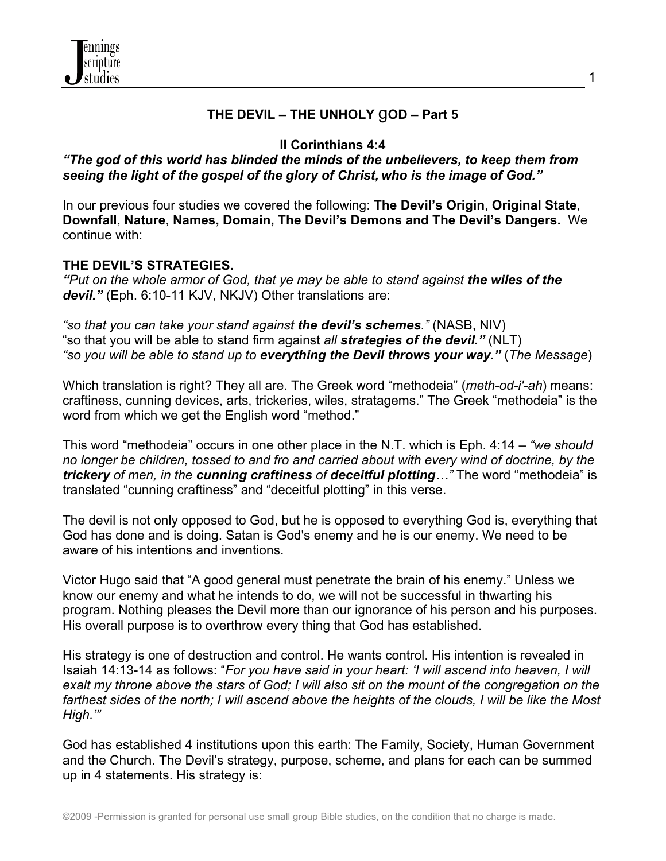

#### **THE DEVIL – THE UNHOLY** g**OD – Part 5**

#### **II Corinthians 4:4**

### *"The god of this world has blinded the minds of the unbelievers, to keep them from seeing the light of the gospel of the glory of Christ, who is the image of God."*

In our previous four studies we covered the following: **The Devil's Origin**, **Original State**, **Downfall**, **Nature**, **Names, Domain, The Devil's Demons and The Devil's Dangers.** We continue with:

### **THE DEVIL'S STRATEGIES.**

*"Put on the whole armor of God, that ye may be able to stand against the wiles of the devil."* (Eph. 6:10-11 KJV, NKJV) Other translations are:

*"so that you can take your stand against the devil's schemes."* (NASB, NIV) "so that you will be able to stand firm against *all strategies of the devil."* (NLT) *"so you will be able to stand up to everything the Devil throws your way."* (*The Message*)

Which translation is right? They all are. The Greek word "methodeia" (*meth-od-i'-ah*) means: craftiness, cunning devices, arts, trickeries, wiles, stratagems." The Greek "methodeia" is the word from which we get the English word "method."

This word "methodeia" occurs in one other place in the N.T. which is Eph. 4:14 – *"we should no longer be children, tossed to and fro and carried about with every wind of doctrine, by the trickery of men, in the cunning craftiness of deceitful plotting…"* The word "methodeia" is translated "cunning craftiness" and "deceitful plotting" in this verse.

The devil is not only opposed to God, but he is opposed to everything God is, everything that God has done and is doing. Satan is God's enemy and he is our enemy. We need to be aware of his intentions and inventions.

Victor Hugo said that "A good general must penetrate the brain of his enemy." Unless we know our enemy and what he intends to do, we will not be successful in thwarting his program. Nothing pleases the Devil more than our ignorance of his person and his purposes. His overall purpose is to overthrow every thing that God has established.

His strategy is one of destruction and control. He wants control. His intention is revealed in Isaiah 14:13-14 as follows: "*For you have said in your heart: 'I will ascend into heaven, I will exalt my throne above the stars of God; I will also sit on the mount of the congregation on the farthest sides of the north; I will ascend above the heights of the clouds, I will be like the Most High.'"*

God has established 4 institutions upon this earth: The Family, Society, Human Government and the Church. The Devil's strategy, purpose, scheme, and plans for each can be summed up in 4 statements. His strategy is: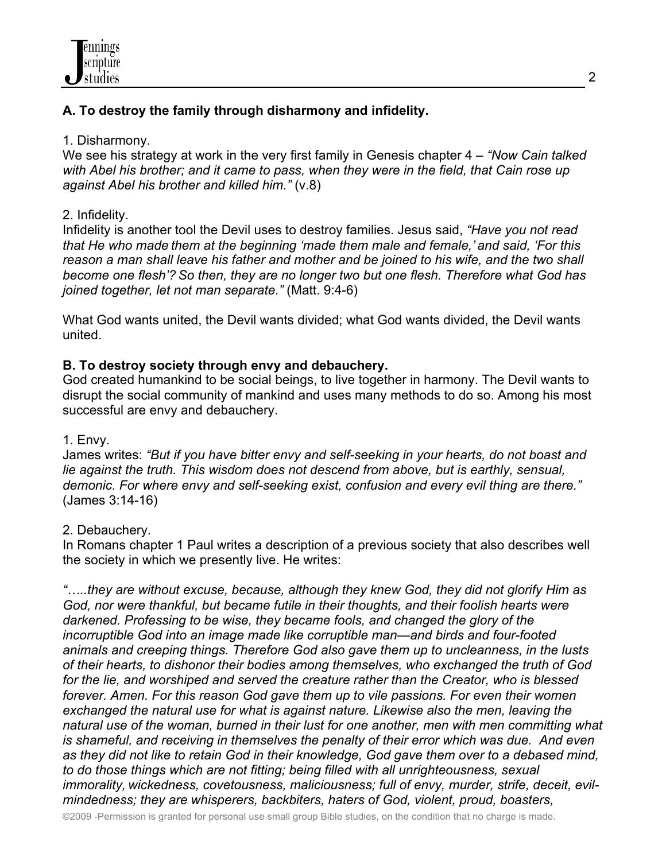## **A. To destroy the family through disharmony and infidelity.**

### 1. Disharmony.

We see his strategy at work in the very first family in Genesis chapter 4 – *"Now Cain talked with Abel his brother; and it came to pass, when they were in the field, that Cain rose up against Abel his brother and killed him."* (v.8)

## 2. Infidelity.

Infidelity is another tool the Devil uses to destroy families. Jesus said, *"Have you not read that He who made them at the beginning 'made them male and female,' and said, 'For this reason a man shall leave his father and mother and be joined to his wife, and the two shall become one flesh'? So then, they are no longer two but one flesh. Therefore what God has joined together, let not man separate."* (Matt. 9:4-6)

What God wants united, the Devil wants divided; what God wants divided, the Devil wants united.

## **B. To destroy society through envy and debauchery.**

God created humankind to be social beings, to live together in harmony. The Devil wants to disrupt the social community of mankind and uses many methods to do so. Among his most successful are envy and debauchery.

#### 1. Envy.

James writes: *"But if you have bitter envy and self-seeking in your hearts, do not boast and lie against the truth. This wisdom does not descend from above, but is earthly, sensual, demonic. For where envy and self-seeking exist, confusion and every evil thing are there."* (James 3:14-16)

## 2. Debauchery.

In Romans chapter 1 Paul writes a description of a previous society that also describes well the society in which we presently live. He writes:

*"…..they are without excuse, because, although they knew God, they did not glorify Him as God, nor were thankful, but became futile in their thoughts, and their foolish hearts were darkened. Professing to be wise, they became fools, and changed the glory of the incorruptible God into an image made like corruptible man—and birds and four-footed animals and creeping things. Therefore God also gave them up to uncleanness, in the lusts of their hearts, to dishonor their bodies among themselves, who exchanged the truth of God for the lie, and worshiped and served the creature rather than the Creator, who is blessed forever. Amen. For this reason God gave them up to vile passions. For even their women exchanged the natural use for what is against nature. Likewise also the men, leaving the natural use of the woman, burned in their lust for one another, men with men committing what is shameful, and receiving in themselves the penalty of their error which was due. And even as they did not like to retain God in their knowledge, God gave them over to a debased mind, to do those things which are not fitting; being filled with all unrighteousness, sexual immorality, wickedness, covetousness, maliciousness; full of envy, murder, strife, deceit, evilmindedness; they are whisperers, backbiters, haters of God, violent, proud, boasters,*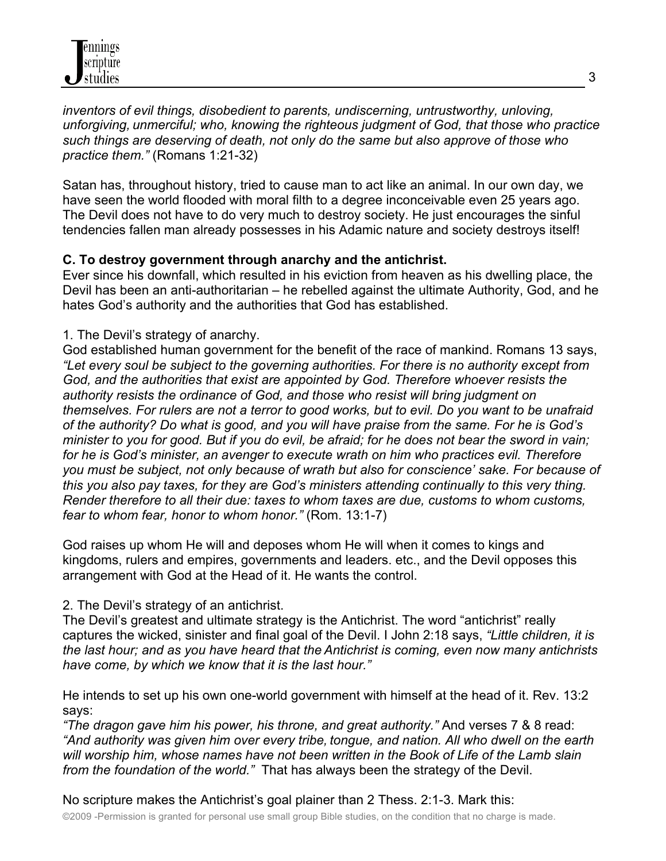*inventors of evil things, disobedient to parents, undiscerning, untrustworthy, unloving, unforgiving, unmerciful; who, knowing the righteous judgment of God, that those who practice such things are deserving of death, not only do the same but also approve of those who practice them."* (Romans 1:21-32)

Satan has, throughout history, tried to cause man to act like an animal. In our own day, we have seen the world flooded with moral filth to a degree inconceivable even 25 years ago. The Devil does not have to do very much to destroy society. He just encourages the sinful tendencies fallen man already possesses in his Adamic nature and society destroys itself!

## **C. To destroy government through anarchy and the antichrist.**

Ever since his downfall, which resulted in his eviction from heaven as his dwelling place, the Devil has been an anti-authoritarian – he rebelled against the ultimate Authority, God, and he hates God's authority and the authorities that God has established.

## 1. The Devil's strategy of anarchy.

God established human government for the benefit of the race of mankind. Romans 13 says, *"Let every soul be subject to the governing authorities. For there is no authority except from God, and the authorities that exist are appointed by God. Therefore whoever resists the authority resists the ordinance of God, and those who resist will bring judgment on themselves. For rulers are not a terror to good works, but to evil. Do you want to be unafraid of the authority? Do what is good, and you will have praise from the same. For he is God's minister to you for good. But if you do evil, be afraid; for he does not bear the sword in vain; for he is God's minister, an avenger to execute wrath on him who practices evil. Therefore you must be subject, not only because of wrath but also for conscience' sake. For because of this you also pay taxes, for they are God's ministers attending continually to this very thing. Render therefore to all their due: taxes to whom taxes are due, customs to whom customs, fear to whom fear, honor to whom honor."* (Rom. 13:1-7)

God raises up whom He will and deposes whom He will when it comes to kings and kingdoms, rulers and empires, governments and leaders. etc., and the Devil opposes this arrangement with God at the Head of it. He wants the control.

# 2. The Devil's strategy of an antichrist.

The Devil's greatest and ultimate strategy is the Antichrist. The word "antichrist" really captures the wicked, sinister and final goal of the Devil. I John 2:18 says, *"Little children, it is the last hour; and as you have heard that the Antichrist is coming, even now many antichrists have come, by which we know that it is the last hour."*

He intends to set up his own one-world government with himself at the head of it. Rev. 13:2 says:

*"The dragon gave him his power, his throne, and great authority."* And verses 7 & 8 read: *"And authority was given him over every tribe, tongue, and nation. All who dwell on the earth will worship him, whose names have not been written in the Book of Life of the Lamb slain from the foundation of the world."* That has always been the strategy of the Devil.

No scripture makes the Antichrist's goal plainer than 2 Thess. 2:1-3. Mark this:

©2009 -Permission is granted for personal use small group Bible studies, on the condition that no charge is made.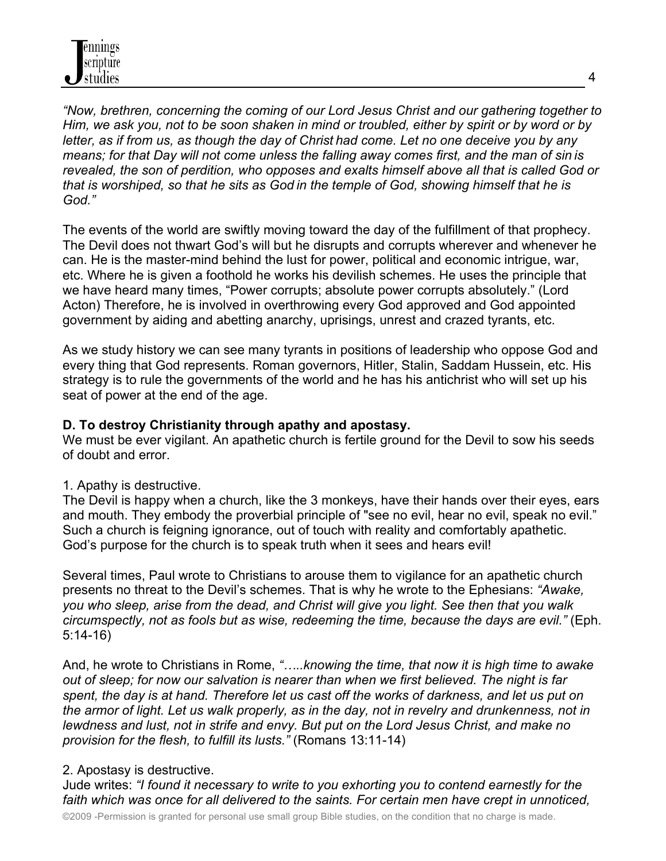*"Now, brethren, concerning the coming of our Lord Jesus Christ and our gathering together to Him, we ask you, not to be soon shaken in mind or troubled, either by spirit or by word or by letter, as if from us, as though the day of Christ had come. Let no one deceive you by any means; for that Day will not come unless the falling away comes first, and the man of sin is revealed, the son of perdition, who opposes and exalts himself above all that is called God or that is worshiped, so that he sits as God in the temple of God, showing himself that he is God."*

The events of the world are swiftly moving toward the day of the fulfillment of that prophecy. The Devil does not thwart God's will but he disrupts and corrupts wherever and whenever he can. He is the master-mind behind the lust for power, political and economic intrigue, war, etc. Where he is given a foothold he works his devilish schemes. He uses the principle that we have heard many times, "Power corrupts; absolute power corrupts absolutely." (Lord Acton) Therefore, he is involved in overthrowing every God approved and God appointed government by aiding and abetting anarchy, uprisings, unrest and crazed tyrants, etc.

As we study history we can see many tyrants in positions of leadership who oppose God and every thing that God represents. Roman governors, Hitler, Stalin, Saddam Hussein, etc. His strategy is to rule the governments of the world and he has his antichrist who will set up his seat of power at the end of the age.

## **D. To destroy Christianity through apathy and apostasy.**

We must be ever vigilant. An apathetic church is fertile ground for the Devil to sow his seeds of doubt and error.

# 1. Apathy is destructive.

The Devil is happy when a church, like the 3 monkeys, have their hands over their eyes, ears and mouth. They embody the proverbial principle of "see no evil, hear no evil, speak no evil." Such a church is feigning ignorance, out of touch with reality and comfortably apathetic. God's purpose for the church is to speak truth when it sees and hears evil!

Several times, Paul wrote to Christians to arouse them to vigilance for an apathetic church presents no threat to the Devil's schemes. That is why he wrote to the Ephesians: *"Awake, you who sleep, arise from the dead, and Christ will give you light. See then that you walk circumspectly, not as fools but as wise, redeeming the time, because the days are evil."* (Eph. 5:14-16)

And, he wrote to Christians in Rome, *"…..knowing the time, that now it is high time to awake out of sleep; for now our salvation is nearer than when we first believed. The night is far spent, the day is at hand. Therefore let us cast off the works of darkness, and let us put on the armor of light. Let us walk properly, as in the day, not in revelry and drunkenness, not in lewdness and lust, not in strife and envy. But put on the Lord Jesus Christ, and make no provision for the flesh, to fulfill its lusts."* (Romans 13:11-14)

# 2. Apostasy is destructive.

Jude writes: *"I found it necessary to write to you exhorting you to contend earnestly for the*  faith which was once for all delivered to the saints. For certain men have crept in unnoticed,